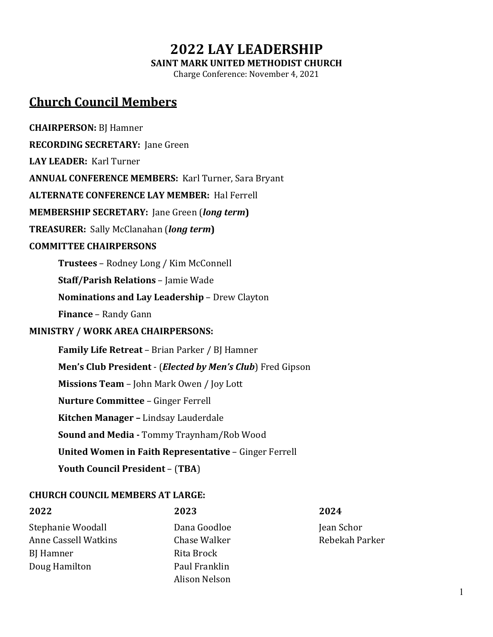# **2022 LAY LEADERSHIP**

# **SAINT MARK UNITED METHODIST CHURCH**

Charge Conference: November 4, 2021

# **Church Council Members**

**CHAIRPERSON: BJ Hamner RECORDING SECRETARY: Jane Green** LAY LEADER: Karl Turner **ANNUAL CONFERENCE MEMBERS:** Karl Turner, Sara Bryant **ALTERNATE CONFERENCE LAY MEMBER: Hal Ferrell MEMBERSHIP SECRETARY:** Jane Green (*long term***) TREASURER:** Sally McClanahan (*long term***) COMMITTEE CHAIRPERSONS Trustees** – Rodney Long / Kim McConnell **Staff/Parish Relations** – Jamie Wade **Nominations and Lay Leadership** – Drew Clayton **Finance** – Randy Gann **MINISTRY / WORK AREA CHAIRPERSONS: Family Life Retreat** – Brian Parker / BJ Hamner Men's Club President - (*Elected by Men's Club*) Fred Gipson **Missions Team** – John Mark Owen / Joy Lott **Nurture Committee** – Ginger Ferrell **Kitchen Manager - Lindsay Lauderdale Sound and Media - Tommy Traynham/Rob Wood United Women in Faith Representative** – Ginger Ferrell **Youth Council President** – (**TBA**)

# **CHURCH COUNCIL MEMBERS AT LARGE:**

| 2022                 | 2023          | 2024   |
|----------------------|---------------|--------|
| Stephanie Woodall    | Dana Goodloe  | Jean S |
| Anne Cassell Watkins | Chase Walker  | Rebel  |
| <b>B</b> Hamner      | Rita Brock    |        |
| Doug Hamilton        | Paul Franklin |        |
|                      | Alison Nelson |        |

**Jean Schor** Rebekah Parker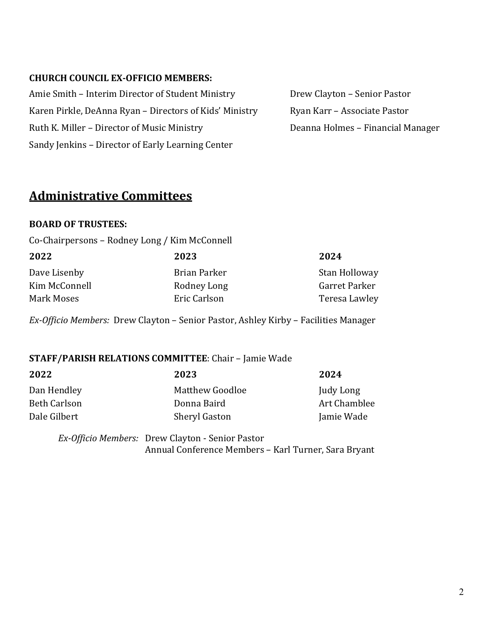## **CHURCH COUNCIL EX-OFFICIO MEMBERS:**

| Amie Smith - Interim Director of Student Ministry       | Drew Clayton – Senior Pastor      |
|---------------------------------------------------------|-----------------------------------|
| Karen Pirkle, DeAnna Ryan - Directors of Kids' Ministry | Ryan Karr – Associate Pastor      |
| Ruth K. Miller – Director of Music Ministry             | Deanna Holmes - Financial Manager |
| Sandy Jenkins – Director of Early Learning Center       |                                   |

# **Administrative Committees**

# **BOARD OF TRUSTEES:**

| Co-Chairpersons - Rodney Long / Kim McConnell |  |  |
|-----------------------------------------------|--|--|
|-----------------------------------------------|--|--|

| 2022          | 2023         | 2024          |
|---------------|--------------|---------------|
| Dave Lisenby  | Brian Parker | Stan Holloway |
| Kim McConnell | Rodney Long  | Garret Parker |
| Mark Moses    | Eric Carlson | Teresa Lawley |

*Ex-Officio Members:* Drew Clayton - Senior Pastor, Ashley Kirby - Facilities Manager

## **STAFF/PARISH RELATIONS COMMITTEE:** Chair - Jamie Wade

| 2022         | 2023                 | 2024         |
|--------------|----------------------|--------------|
| Dan Hendley  | Matthew Goodloe      | Judy Long    |
| Beth Carlson | Donna Baird          | Art Chamblee |
| Dale Gilbert | <b>Sheryl Gaston</b> | Jamie Wade   |

*Ex-Officio Members:* Drew Clayton - Senior Pastor Annual Conference Members - Karl Turner, Sara Bryant